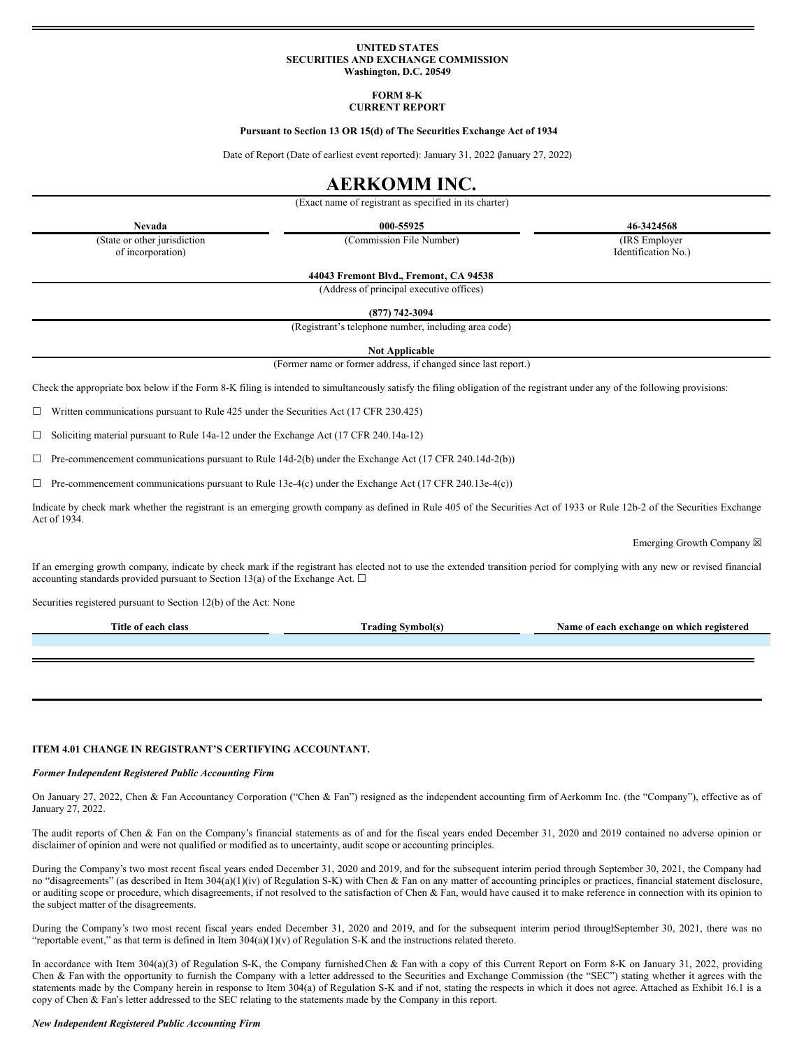### **UNITED STATES SECURITIES AND EXCHANGE COMMISSION Washington, D.C. 20549**

#### **FORM 8-K CURRENT REPORT**

#### **Pursuant to Section 13 OR 15(d) of The Securities Exchange Act of 1934**

Date of Report (Date of earliest event reported): January 31, 2022 (January 27, 2022)

# **AERKOMM INC.**

(Exact name of registrant as specified in its charter)

**Nevada 000-55925 46-3424568**

(State or other jurisdiction of incorporation)

(Commission File Number) (IRS Employer

Identification No.)

**44043 Fremont Blvd., Fremont, CA 94538**

(Address of principal executive offices)

**(877) 742-3094**

(Registrant's telephone number, including area code)

**Not Applicable**

(Former name or former address, if changed since last report.)

Check the appropriate box below if the Form 8-K filing is intended to simultaneously satisfy the filing obligation of the registrant under any of the following provisions:

 $\Box$  Written communications pursuant to Rule 425 under the Securities Act (17 CFR 230.425)

☐ Soliciting material pursuant to Rule 14a-12 under the Exchange Act (17 CFR 240.14a-12)

 $\Box$  Pre-commencement communications pursuant to Rule 14d-2(b) under the Exchange Act (17 CFR 240.14d-2(b))

 $\Box$  Pre-commencement communications pursuant to Rule 13e-4(c) under the Exchange Act (17 CFR 240.13e-4(c))

Indicate by check mark whether the registrant is an emerging growth company as defined in Rule 405 of the Securities Act of 1933 or Rule 12b-2 of the Securities Exchange Act of 1934.

Emerging Growth Company  $\boxtimes$ 

If an emerging growth company, indicate by check mark if the registrant has elected not to use the extended transition period for complying with any new or revised financial accounting standards provided pursuant to Section 13(a) of the Exchange Act.  $\Box$ 

Securities registered pursuant to Section 12(b) of the Act: None

| Title of each class | Frading | $\blacksquare$<br>Name of each exchange on which registered |
|---------------------|---------|-------------------------------------------------------------|
|                     |         |                                                             |
|                     |         |                                                             |
|                     |         |                                                             |

## **ITEM 4.01 CHANGE IN REGISTRANT'S CERTIFYING ACCOUNTANT.**

#### *Former Independent Registered Public Accounting Firm*

On January 27, 2022, Chen & Fan Accountancy Corporation ("Chen & Fan") resigned as the independent accounting firm of Aerkomm Inc. (the "Company"), effective as of January 27, 2022.

The audit reports of Chen & Fan on the Company's financial statements as of and for the fiscal years ended December 31, 2020 and 2019 contained no adverse opinion or disclaimer of opinion and were not qualified or modified as to uncertainty, audit scope or accounting principles.

During the Company's two most recent fiscal years ended December 31, 2020 and 2019, and for the subsequent interim period through September 30, 2021, the Company had no "disagreements" (as described in Item 304(a)(1)(iv) of Regulation S-K) with Chen & Fan on any matter of accounting principles or practices, financial statement disclosure, or auditing scope or procedure, which disagreements, if not resolved to the satisfaction of Chen & Fan, would have caused it to make reference in connection with its opinion to the subject matter of the disagreements.

During the Company's two most recent fiscal years ended December 31, 2020 and 2019, and for the subsequent interim period throughSeptember 30, 2021, there was no "reportable event," as that term is defined in Item  $304(a)(1)(v)$  of Regulation S-K and the instructions related thereto.

In accordance with Item 304(a)(3) of Regulation S-K, the Company furnished Chen & Fan with a copy of this Current Report on Form 8-K on January 31, 2022, providing Chen & Fan with the opportunity to furnish the Company with a letter addressed to the Securities and Exchange Commission (the "SEC") stating whether it agrees with the statements made by the Company herein in response to Item 304(a) of Regulation S-K and if not, stating the respects in which it does not agree. Attached as Exhibit 16.1 is a copy of Chen & Fan's letter addressed to the SEC relating to the statements made by the Company in this report.

### *New Independent Registered Public Accounting Firm*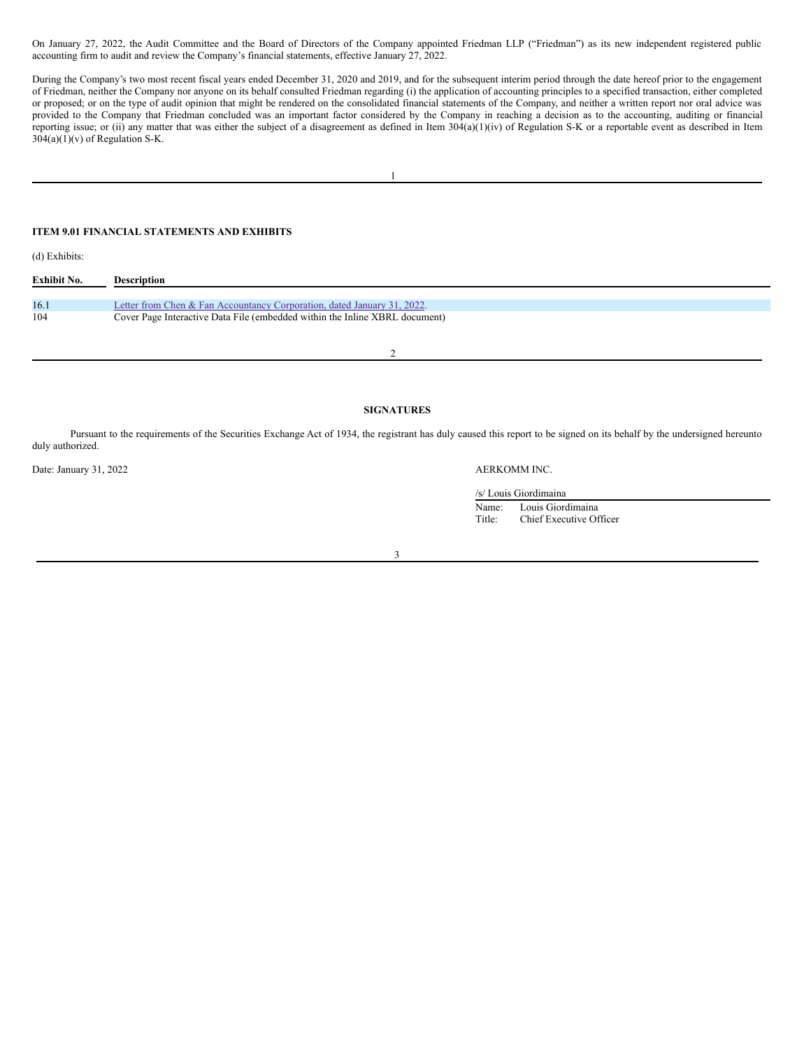On January 27, 2022, the Audit Committee and the Board of Directors of the Company appointed Friedman LLP ("Friedman") as its new independent registered public accounting firm to audit and review the Company's financial statements, effective January 27, 2022.

During the Company's two most recent fiscal years ended December 31, 2020 and 2019, and for the subsequent interim period through the date hereof prior to the engagement of Friedman, neither the Company nor anyone on its behalf consulted Friedman regarding (i) the application of accounting principles to a specified transaction, either completed or proposed; or on the type of audit opinion that might be rendered on the consolidated financial statements of the Company, and neither a written report nor oral advice was provided to the Company that Friedman concluded was an important factor considered by the Company in reaching a decision as to the accounting, auditing or financial reporting issue; or (ii) any matter that was either the subject of a disagreement as defined in Item 304(a)(1)(iv) of Regulation S-K or a reportable event as described in Item 304(a)(1)(v) of Regulation S-K.

# **ITEM 9.01 FINANCIAL STATEMENTS AND EXHIBITS**

(d) Exhibits:

| Exhibit No. | Description                                                                 |
|-------------|-----------------------------------------------------------------------------|
|             |                                                                             |
| 16.1        | Letter from Chen & Fan Accountancy Corporation, dated January 31, 2022.     |
| 104         | Cover Page Interactive Data File (embedded within the Inline XBRL document) |
|             |                                                                             |

2

## **SIGNATURES**

Pursuant to the requirements of the Securities Exchange Act of 1934, the registrant has duly caused this report to be signed on its behalf by the undersigned hereunto duly authorized.

Date: January 31, 2022 AERKOMM INC.

/s/ Louis Giordimaina

Name: Louis Giordimaina<br>Title: Chief Executive Of Chief Executive Officer

3